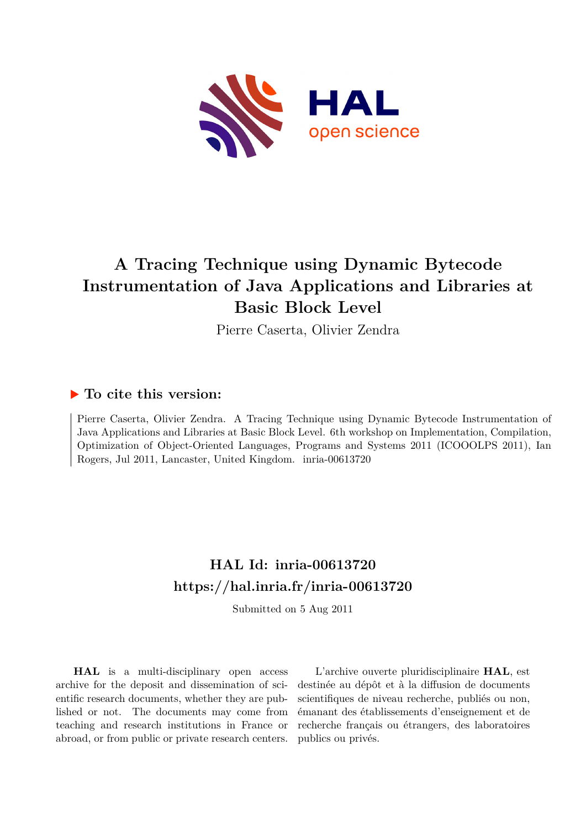

# **A Tracing Technique using Dynamic Bytecode Instrumentation of Java Applications and Libraries at Basic Block Level**

Pierre Caserta, Olivier Zendra

# **To cite this version:**

Pierre Caserta, Olivier Zendra. A Tracing Technique using Dynamic Bytecode Instrumentation of Java Applications and Libraries at Basic Block Level. 6th workshop on Implementation, Compilation, Optimization of Object-Oriented Languages, Programs and Systems 2011 (ICOOOLPS 2011), Ian Rogers, Jul 2011, Lancaster, United Kingdom. inria-00613720

# **HAL Id: inria-00613720 <https://hal.inria.fr/inria-00613720>**

Submitted on 5 Aug 2011

**HAL** is a multi-disciplinary open access archive for the deposit and dissemination of scientific research documents, whether they are published or not. The documents may come from teaching and research institutions in France or abroad, or from public or private research centers.

L'archive ouverte pluridisciplinaire **HAL**, est destinée au dépôt et à la diffusion de documents scientifiques de niveau recherche, publiés ou non, émanant des établissements d'enseignement et de recherche français ou étrangers, des laboratoires publics ou privés.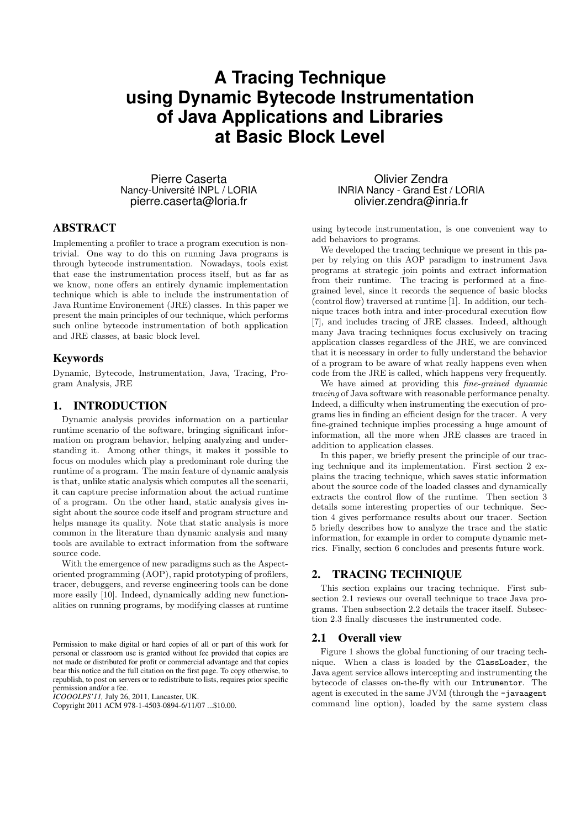# **A Tracing Technique using Dynamic Bytecode Instrumentation of Java Applications and Libraries at Basic Block Level**

Pierre Caserta Nancy-Université INPL / LORIA pierre.caserta@loria.fr

# ABSTRACT

Implementing a profiler to trace a program execution is nontrivial. One way to do this on running Java programs is through bytecode instrumentation. Nowadays, tools exist that ease the instrumentation process itself, but as far as we know, none offers an entirely dynamic implementation technique which is able to include the instrumentation of Java Runtime Environement (JRE) classes. In this paper we present the main principles of our technique, which performs such online bytecode instrumentation of both application and JRE classes, at basic block level.

#### Keywords

Dynamic, Bytecode, Instrumentation, Java, Tracing, Program Analysis, JRE

### 1. INTRODUCTION

Dynamic analysis provides information on a particular runtime scenario of the software, bringing significant information on program behavior, helping analyzing and understanding it. Among other things, it makes it possible to focus on modules which play a predominant role during the runtime of a program. The main feature of dynamic analysis is that, unlike static analysis which computes all the scenarii, it can capture precise information about the actual runtime of a program. On the other hand, static analysis gives insight about the source code itself and program structure and helps manage its quality. Note that static analysis is more common in the literature than dynamic analysis and many tools are available to extract information from the software source code.

With the emergence of new paradigms such as the Aspectoriented programming (AOP), rapid prototyping of profilers, tracer, debuggers, and reverse engineering tools can be done more easily [10]. Indeed, dynamically adding new functionalities on running programs, by modifying classes at runtime

*ICOOOLPS'11,* July 26, 2011, Lancaster, UK.

Olivier Zendra INRIA Nancy - Grand Est / LORIA olivier.zendra@inria.fr

using bytecode instrumentation, is one convenient way to add behaviors to programs.

We developed the tracing technique we present in this paper by relying on this AOP paradigm to instrument Java programs at strategic join points and extract information from their runtime. The tracing is performed at a finegrained level, since it records the sequence of basic blocks (control flow) traversed at runtime [1]. In addition, our technique traces both intra and inter-procedural execution flow [7], and includes tracing of JRE classes. Indeed, although many Java tracing techniques focus exclusively on tracing application classes regardless of the JRE, we are convinced that it is necessary in order to fully understand the behavior of a program to be aware of what really happens even when code from the JRE is called, which happens very frequently.

We have aimed at providing this fine-grained dynamic tracing of Java software with reasonable performance penalty. Indeed, a difficulty when instrumenting the execution of programs lies in finding an efficient design for the tracer. A very fine-grained technique implies processing a huge amount of information, all the more when JRE classes are traced in addition to application classes.

In this paper, we briefly present the principle of our tracing technique and its implementation. First section 2 explains the tracing technique, which saves static information about the source code of the loaded classes and dynamically extracts the control flow of the runtime. Then section 3 details some interesting properties of our technique. Section 4 gives performance results about our tracer. Section 5 briefly describes how to analyze the trace and the static information, for example in order to compute dynamic metrics. Finally, section 6 concludes and presents future work.

### 2. TRACING TECHNIQUE

This section explains our tracing technique. First subsection 2.1 reviews our overall technique to trace Java programs. Then subsection 2.2 details the tracer itself. Subsection 2.3 finally discusses the instrumented code.

#### 2.1 Overall view

Figure 1 shows the global functioning of our tracing technique. When a class is loaded by the ClassLoader, the Java agent service allows intercepting and instrumenting the bytecode of classes on-the-fly with our Intrumentor. The agent is executed in the same JVM (through the -javaagent command line option), loaded by the same system class

Permission to make digital or hard copies of all or part of this work for personal or classroom use is granted without fee provided that copies are not made or distributed for profit or commercial advantage and that copies bear this notice and the full citation on the first page. To copy otherwise, to republish, to post on servers or to redistribute to lists, requires prior specific permission and/or a fee.

Copyright 2011 ACM 978-1-4503-0894-6/11/07 ...\$10.00.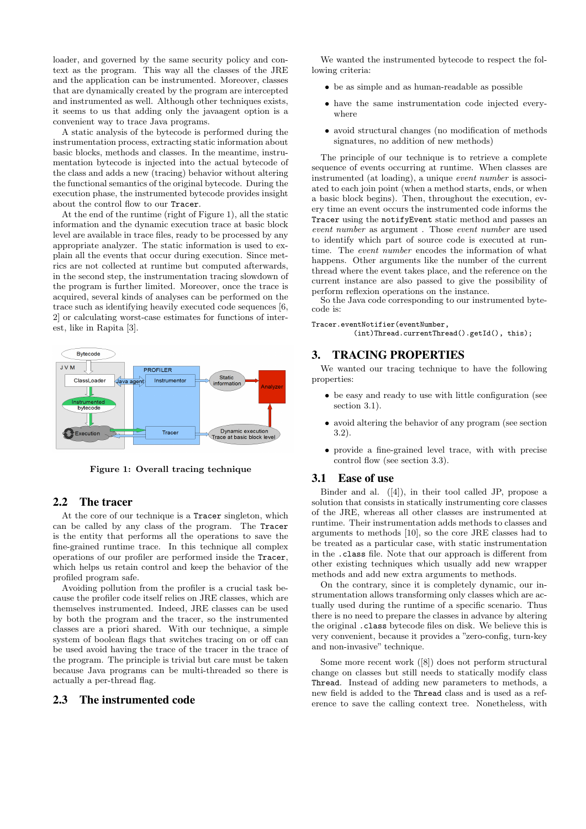loader, and governed by the same security policy and context as the program. This way all the classes of the JRE and the application can be instrumented. Moreover, classes that are dynamically created by the program are intercepted and instrumented as well. Although other techniques exists, it seems to us that adding only the javaagent option is a convenient way to trace Java programs.

A static analysis of the bytecode is performed during the instrumentation process, extracting static information about basic blocks, methods and classes. In the meantime, instrumentation bytecode is injected into the actual bytecode of the class and adds a new (tracing) behavior without altering the functional semantics of the original bytecode. During the execution phase, the instrumented bytecode provides insight about the control flow to our Tracer.

At the end of the runtime (right of Figure 1), all the static information and the dynamic execution trace at basic block level are available in trace files, ready to be processed by any appropriate analyzer. The static information is used to explain all the events that occur during execution. Since metrics are not collected at runtime but computed afterwards, in the second step, the instrumentation tracing slowdown of the program is further limited. Moreover, once the trace is acquired, several kinds of analyses can be performed on the trace such as identifying heavily executed code sequences [6, 2] or calculating worst-case estimates for functions of interest, like in Rapita [3].



Figure 1: Overall tracing technique

#### 2.2 The tracer

At the core of our technique is a Tracer singleton, which can be called by any class of the program. The Tracer is the entity that performs all the operations to save the fine-grained runtime trace. In this technique all complex operations of our profiler are performed inside the Tracer, which helps us retain control and keep the behavior of the profiled program safe.

Avoiding pollution from the profiler is a crucial task because the profiler code itself relies on JRE classes, which are themselves instrumented. Indeed, JRE classes can be used by both the program and the tracer, so the instrumented classes are a priori shared. With our technique, a simple system of boolean flags that switches tracing on or off can be used avoid having the trace of the tracer in the trace of the program. The principle is trivial but care must be taken because Java programs can be multi-threaded so there is actually a per-thread flag.

#### 2.3 The instrumented code

We wanted the instrumented bytecode to respect the following criteria:

- be as simple and as human-readable as possible
- have the same instrumentation code injected everywhere
- avoid structural changes (no modification of methods signatures, no addition of new methods)

The principle of our technique is to retrieve a complete sequence of events occurring at runtime. When classes are instrumented (at loading), a unique event number is associated to each join point (when a method starts, ends, or when a basic block begins). Then, throughout the execution, every time an event occurs the instrumented code informs the Tracer using the notifyEvent static method and passes an event number as argument . Those event number are used to identify which part of source code is executed at runtime. The event number encodes the information of what happens. Other arguments like the number of the current thread where the event takes place, and the reference on the current instance are also passed to give the possibility of perform reflexion operations on the instance.

So the Java code corresponding to our instrumented bytecode is:

Tracer.eventNotifier(eventNumber,

```
(int)Thread.currentThread().getId(), this);
```
# 3. TRACING PROPERTIES

We wanted our tracing technique to have the following properties:

- be easy and ready to use with little configuration (see section 3.1).
- avoid altering the behavior of any program (see section 3.2).
- provide a fine-grained level trace, with with precise control flow (see section 3.3).

#### 3.1 Ease of use

Binder and al. ([4]), in their tool called JP, propose a solution that consists in statically instrumenting core classes of the JRE, whereas all other classes are instrumented at runtime. Their instrumentation adds methods to classes and arguments to methods [10], so the core JRE classes had to be treated as a particular case, with static instrumentation in the .class file. Note that our approach is different from other existing techniques which usually add new wrapper methods and add new extra arguments to methods.

On the contrary, since it is completely dynamic, our instrumentation allows transforming only classes which are actually used during the runtime of a specific scenario. Thus there is no need to prepare the classes in advance by altering the original .class bytecode files on disk. We believe this is very convenient, because it provides a "zero-config, turn-key and non-invasive" technique.

Some more recent work ([8]) does not perform structural change on classes but still needs to statically modify class Thread. Instead of adding new parameters to methods, a new field is added to the Thread class and is used as a reference to save the calling context tree. Nonetheless, with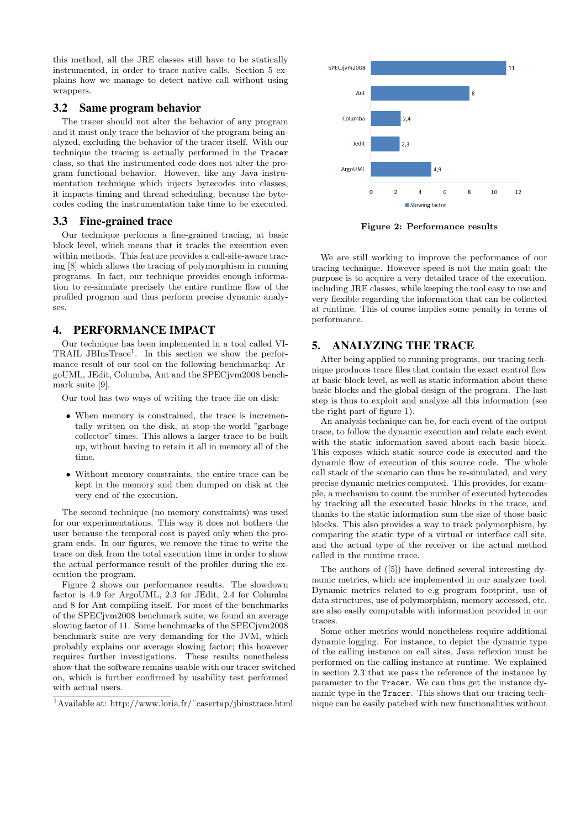this method, all the JRE classes still have to be statically instrumented, in order to trace native calls. Section 5 explains how we manage to detect native call without using wrappers.

#### 3.2 Same program behavior

The tracer should not alter the behavior of any program and it must only trace the behavior of the program being analyzed, excluding the behavior of the tracer itself. With our technique the tracing is actually performed in the Tracer class, so that the instrumented code does not alter the program functional behavior. However, like any Java instrumentation technique which injects bytecodes into classes, it impacts timing and thread scheduling, because the bytecodes coding the instrumentation take time to be executed.

#### 3.3 Fine-grained trace

Our technique performs a fine-grained tracing, at basic block level, which means that it tracks the execution even within methods. This feature provides a call-site-aware tracing [8] which allows the tracing of polymorphism in running programs. In fact, our technique provides enough information to re-simulate precisely the entire runtime flow of the profiled program and thus perform precise dynamic analyses.

## 4. PERFORMANCE IMPACT

Our technique has been implemented in a tool called VI-TRAIL JBInsTrace<sup>1</sup>. In this section we show the performance result of our tool on the following benchmarkq: ArgoUML, JEdit, Columba, Ant and the SPECjvm2008 benchmark suite [9].

Our tool has two ways of writing the trace file on disk:

- When memory is constrained, the trace is incrementally written on the disk, at stop-the-world "garbage collector" times. This allows a larger trace to be built up, without having to retain it all in memory all of the time.
- Without memory constraints, the entire trace can be kept in the memory and then dumped on disk at the very end of the execution.

The second technique (no memory constraints) was used for our experimentations. This way it does not bothers the user because the temporal cost is payed only when the program ends. In our figures, we remove the time to write the trace on disk from the total execution time in order to show the actual performance result of the profiler during the execution the program.

Figure 2 shows our performance results. The slowdown factor is 4.9 for ArgoUML, 2.3 for JEdit, 2.4 for Columba and 8 for Ant compiling itself. For most of the benchmarks of the SPECjvm2008 benchmark suite, we found an average slowing factor of 11. Some benchmarks of the SPECjvm2008 benchmark suite are very demanding for the JVM, which probably explains our average slowing factor; this however requires further investigations. These results nonetheless show that the software remains usable with our tracer switched on, which is further confirmed by usability test performed with actual users.



Figure 2: Performance results

We are still working to improve the performance of our tracing technique. However speed is not the main goal: the purpose is to acquire a very detailed trace of the execution, including JRE classes, while keeping the tool easy to use and very flexible regarding the information that can be collected at runtime. This of course implies some penalty in terms of performance.

# 5. ANALYZING THE TRACE

After being applied to running programs, our tracing technique produces trace files that contain the exact control flow at basic block level, as well as static information about these basic blocks and the global design of the program. The last step is thus to exploit and analyze all this information (see the right part of figure 1).

An analysis technique can be, for each event of the output trace, to follow the dynamic execution and relate each event with the static information saved about each basic block. This exposes which static source code is executed and the dynamic flow of execution of this source code. The whole call stack of the scenario can thus be re-simulated, and very precise dynamic metrics computed. This provides, for example, a mechanism to count the number of executed bytecodes by tracking all the executed basic blocks in the trace, and thanks to the static information sum the size of those basic blocks. This also provides a way to track polymorphism, by comparing the static type of a virtual or interface call site, and the actual type of the receiver or the actual method called in the runtime trace.

The authors of ([5]) have defined several interesting dynamic metrics, which are implemented in our analyzer tool. Dynamic metrics related to e.g program footprint, use of data structures, use of polymorphism, memory accessed, etc. are also easily computable with information provided in our traces.

Some other metrics would nonetheless require additional dynamic logging. For instance, to depict the dynamic type of the calling instance on call sites, Java reflexion must be performed on the calling instance at runtime. We explained in section 2.3 that we pass the reference of the instance by parameter to the Tracer. We can thus get the instance dynamic type in the Tracer. This shows that our tracing technique can be easily patched with new functionalities without

 $1$ Available at: http://www.loria.fr/~casertap/jbinstrace.html